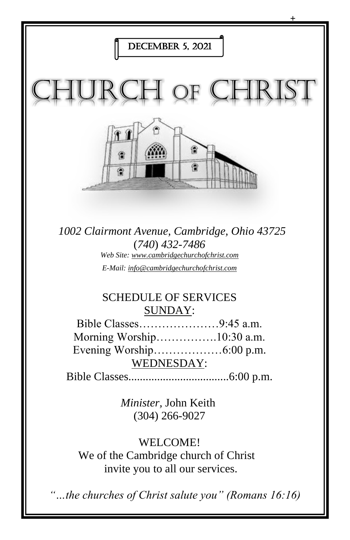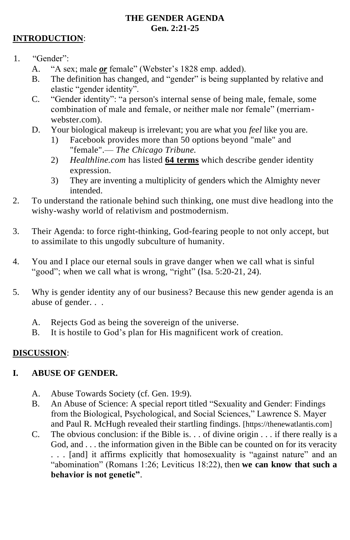#### **THE GENDER AGENDA Gen. 2:21-25**

#### **INTRODUCTION**:

- 1. "Gender":
	- A. "A sex; male *or* female" (Webster's 1828 emp. added).
	- B. The definition has changed, and "gender" is being supplanted by relative and elastic "gender identity".
	- C. "Gender identity": "a person's internal sense of being male, female, some combination of male and female, or neither male nor female" (merriamwebster.com).
	- D. Your biological makeup is irrelevant; you are what you *feel* like you are.
		- 1) Facebook provides more than 50 options beyond "male" and "female".— *The Chicago Tribune.*
		- 2) *Healthline.com* has listed **64 terms** which describe gender identity expression.
		- 3) They are inventing a multiplicity of genders which the Almighty never intended.
- 2. To understand the rationale behind such thinking, one must dive headlong into the wishy-washy world of relativism and postmodernism.
- 3. Their Agenda: to force right-thinking, God-fearing people to not only accept, but to assimilate to this ungodly subculture of humanity.
- 4. You and I place our eternal souls in grave danger when we call what is sinful "good"; when we call what is wrong, "right" (Isa. 5:20-21, 24).
- 5. Why is gender identity any of our business? Because this new gender agenda is an abuse of gender. . .
	- A. Rejects God as being the sovereign of the universe.
	- B. It is hostile to God's plan for His magnificent work of creation.

## **DISCUSSION**:

### **I. ABUSE OF GENDER.**

- A. Abuse Towards Society (cf. Gen. 19:9).
- B. An Abuse of Science: A special report titled "Sexuality and Gender: Findings from the Biological, Psychological, and Social Sciences," Lawrence S. Mayer and Paul R. McHugh revealed their startling findings. [https://thenewatlantis.com]
- C. The obvious conclusion: if the Bible is. . . of divine origin  $\ldots$  if there really is a God, and . . . the information given in the Bible can be counted on for its veracity . . . [and] it affirms explicitly that homosexuality is "against nature" and an "abomination" (Romans 1:26; Leviticus 18:22), then **we can know that such a behavior is not genetic"**.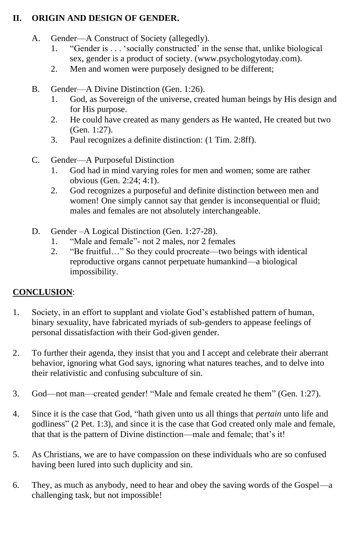### **II. ORIGIN AND DESIGN OF GENDER.**

- A. Gender—A Construct of Society (allegedly).
	- 1. "Gender is . . . 'socially constructed' in the sense that, unlike biological sex, gender is a product of society. (www.psychologytoday.com).
	- 2. Men and women were purposely designed to be different;
- B. Gender—A Divine Distinction (Gen. 1:26).
	- 1. God, as Sovereign of the universe, created human beings by His design and for His purpose.
	- 2. He could have created as many genders as He wanted, He created but two (Gen. 1:27).
	- 3. Paul recognizes a definite distinction: (1 Tim. 2:8ff).
- C. Gender—A Purposeful Distinction
	- 1. God had in mind varying roles for men and women; some are rather obvious (Gen. 2:24; 4:1).
	- 2. God recognizes a purposeful and definite distinction between men and women! One simply cannot say that gender is inconsequential or fluid; males and females are not absolutely interchangeable.
- D. Gender –A Logical Distinction (Gen. 1:27-28).
	- 1. "Male and female"- not 2 males, nor 2 females
	- 2. "Be fruitful…" So they could procreate—two beings with identical reproductive organs cannot perpetuate humankind—a biological impossibility.

## **CONCLUSION**:

- 1. Society, in an effort to supplant and violate God's established pattern of human, binary sexuality, have fabricated myriads of sub-genders to appease feelings of personal dissatisfaction with their God-given gender.
- 2. To further their agenda, they insist that you and I accept and celebrate their aberrant behavior, ignoring what God says, ignoring what natures teaches, and to delve into their relativistic and confusing subculture of sin.
- 3. God—not man—created gender! "Male and female created he them" (Gen. 1:27).
- 4. Since it is the case that God, "hath given unto us all things that *pertain* unto life and godliness" (2 Pet. 1:3), and since it is the case that God created only male and female, that that is the pattern of Divine distinction—male and female; that's it!
- 5. As Christians, we are to have compassion on these individuals who are so confused having been lured into such duplicity and sin.
- 6. They, as much as anybody, need to hear and obey the saving words of the Gospel—a challenging task, but not impossible!